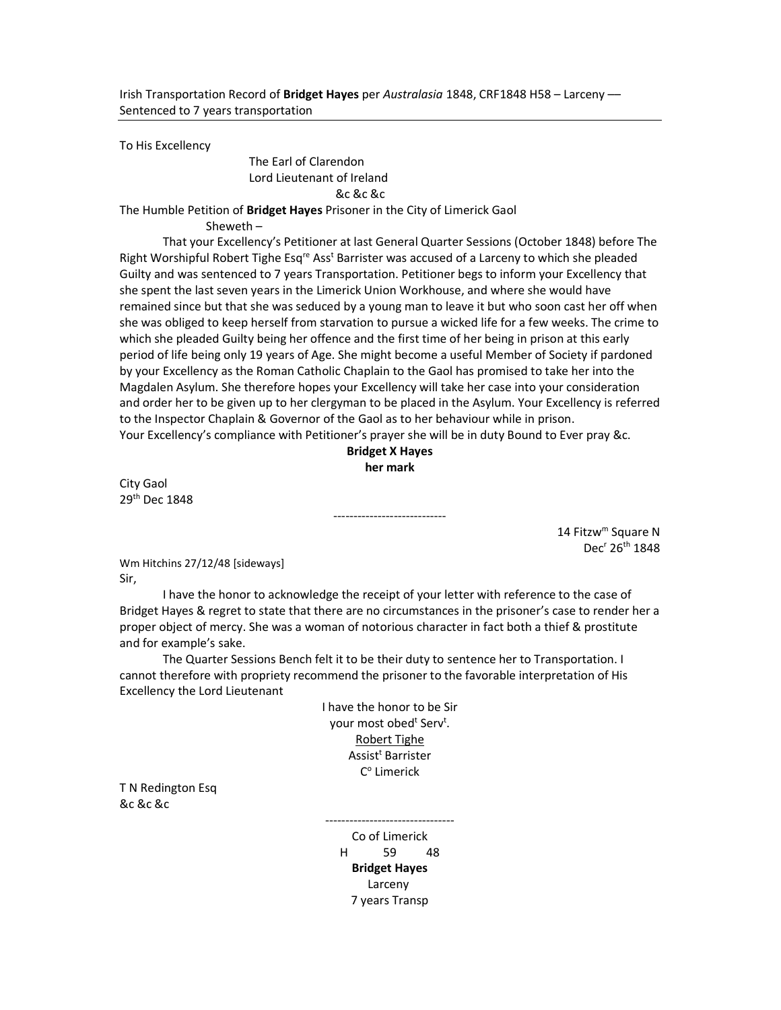To His Excellency

 The Earl of Clarendon Lord Lieutenant of Ireland &c &c &c

The Humble Petition of Bridget Hayes Prisoner in the City of Limerick Gaol

Sheweth –

 That your Excellency's Petitioner at last General Quarter Sessions (October 1848) before The Right Worshipful Robert Tighe Esq<sup>re</sup> Ass<sup>t</sup> Barrister was accused of a Larceny to which she pleaded Guilty and was sentenced to 7 years Transportation. Petitioner begs to inform your Excellency that she spent the last seven years in the Limerick Union Workhouse, and where she would have remained since but that she was seduced by a young man to leave it but who soon cast her off when she was obliged to keep herself from starvation to pursue a wicked life for a few weeks. The crime to which she pleaded Guilty being her offence and the first time of her being in prison at this early period of life being only 19 years of Age. She might become a useful Member of Society if pardoned by your Excellency as the Roman Catholic Chaplain to the Gaol has promised to take her into the Magdalen Asylum. She therefore hopes your Excellency will take her case into your consideration and order her to be given up to her clergyman to be placed in the Asylum. Your Excellency is referred to the Inspector Chaplain & Governor of the Gaol as to her behaviour while in prison. Your Excellency's compliance with Petitioner's prayer she will be in duty Bound to Ever pray &c.

## Bridget X Hayes her mark

----------------------------

City Gaol 29th Dec 1848

> 14 Fitzw<sup>m</sup> Square N Dec<sup>r</sup> 26<sup>th</sup> 1848

Wm Hitchins 27/12/48 [sideways] Sir,

 I have the honor to acknowledge the receipt of your letter with reference to the case of Bridget Hayes & regret to state that there are no circumstances in the prisoner's case to render her a proper object of mercy. She was a woman of notorious character in fact both a thief & prostitute and for example's sake.

 The Quarter Sessions Bench felt it to be their duty to sentence her to Transportation. I cannot therefore with propriety recommend the prisoner to the favorable interpretation of His Excellency the Lord Lieutenant

> I have the honor to be Sir your most obed<sup>t</sup> Serv<sup>t</sup>. Robert Tighe Assist<sup>t</sup> Barrister C<sup>o</sup> Limerick

T N Redington Esq &c &c &c

> -------------------------------- Co of Limerick H 59 48 Bridget Hayes Larceny 7 years Transp